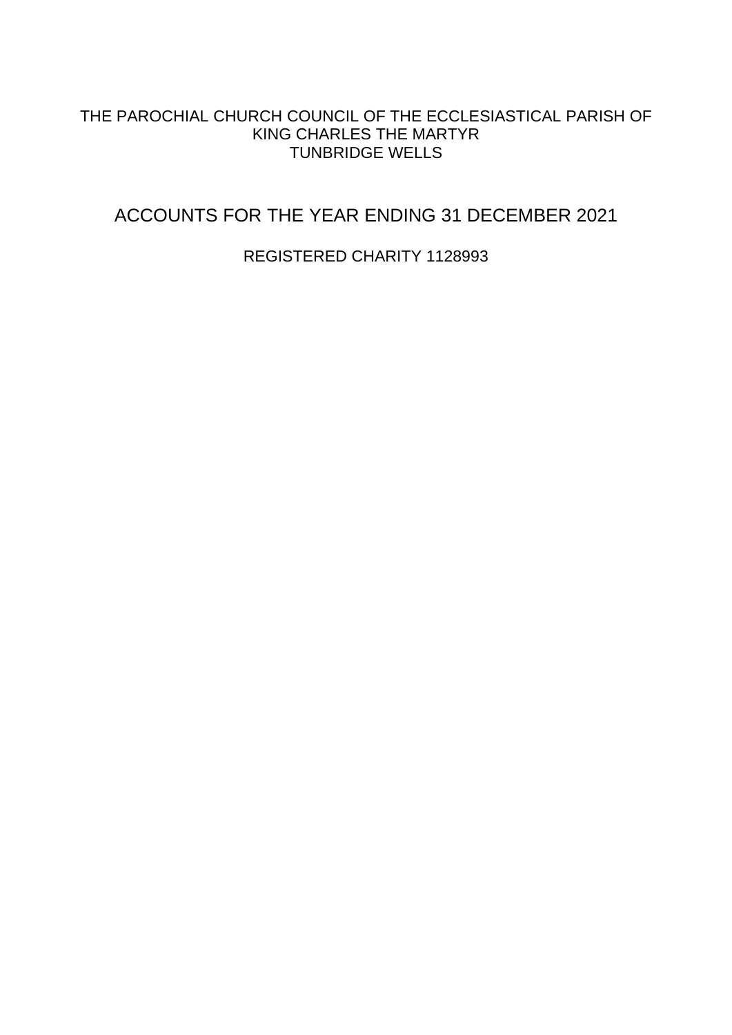## THE PAROCHIAL CHURCH COUNCIL OF THE ECCLESIASTICAL PARISH OF KING CHARLES THE MARTYR TUNBRIDGE WELLS

# ACCOUNTS FOR THE YEAR ENDING 31 DECEMBER 2021

REGISTERED CHARITY 1128993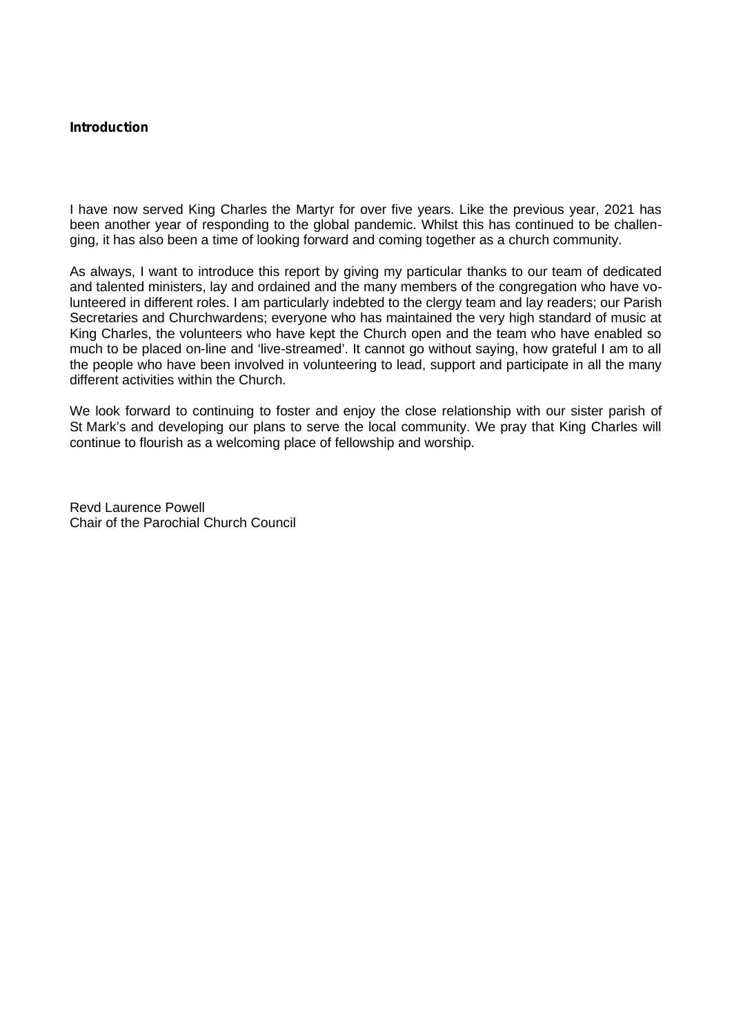### **Introduction**

I have now served King Charles the Martyr for over five years. Like the previous year, 2021 has been another year of responding to the global pandemic. Whilst this has continued to be challen ging, it has also been a time of looking forward and coming together as a church community.

As always, I want to introduce this report by giving my particular thanks to our team of dedicated and talented ministers, lay and ordained and the many members of the congregation who have volunteered in different roles. I am particularly indebted to the clergy team and lay readers; our Parish Secretaries and Churchwardens; everyone who has maintained the very high standard of music at King Charles, the volunteers who have kept the Church open and the team who have enabled so much to be placed on-line and 'live-streamed'. It cannot go without saying, how grateful I am to all the people who have been involved in volunteering to lead, support and participate in all the many different activities within the Church.

We look forward to continuing to foster and enjoy the close relationship with our sister parish of St Mark's and developing our plans to serve the local community. We pray that King Charles will continue to flourish as a welcoming place of fellowship and worship.

Revd Laurence Powell Chair of the Parochial Church Council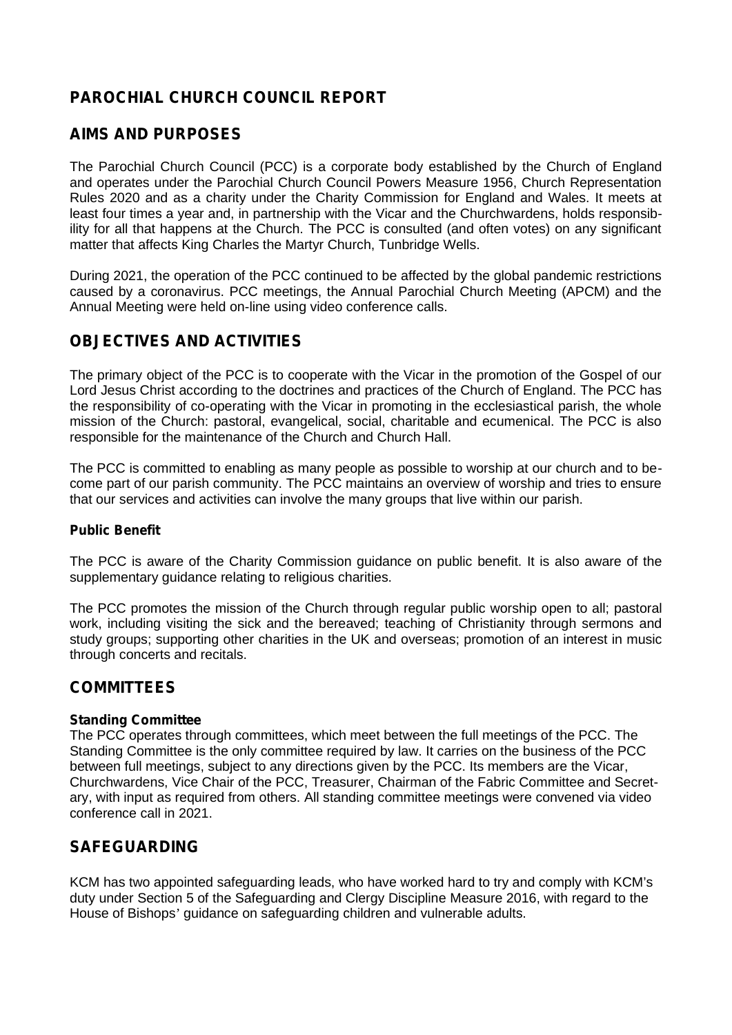# **PAROCHIAL CHURCH COUNCIL REPORT**

## **AIMS AND PURPOSES**

The Parochial Church Council (PCC) is a corporate body established by the Church of England and operates under the Parochial Church Council Powers Measure 1956, Church Representation Rules 2020 and as a charity under the Charity Commission for England and Wales. It meets at least four times a year and, in partnership with the Vicar and the Churchwardens, holds responsibility for all that happens at the Church. The PCC is consulted (and often votes) on any significant matter that affects King Charles the Martyr Church, Tunbridge Wells.

During 2021, the operation of the PCC continued to be affected by the global pandemic restrictions caused by a coronavirus. PCC meetings, the Annual Parochial Church Meeting (APCM) and the Annual Meeting were held on-line using video conference calls.

## **OBJECTIVES AND ACTIVITIES**

The primary object of the PCC is to cooperate with the Vicar in the promotion of the Gospel of our Lord Jesus Christ according to the doctrines and practices of the Church of England. The PCC has the responsibility of co-operating with the Vicar in promoting in the ecclesiastical parish, the whole mission of the Church: pastoral, evangelical, social, charitable and ecumenical. The PCC is also responsible for the maintenance of the Church and Church Hall.

The PCC is committed to enabling as many people as possible to worship at our church and to be come part of our parish community. The PCC maintains an overview of worship and tries to ensure that our services and activities can involve the many groups that live within our parish.

## **Public Benefit**

The PCC is aware of the Charity Commission guidance on public benefit. It is also aware of the supplementary guidance relating to religious charities.

The PCC promotes the mission of the Church through regular public worship open to all; pastoral work, including visiting the sick and the bereaved; teaching of Christianity through sermons and study groups; supporting other charities in the UK and overseas; promotion of an interest in music through concerts and recitals.

## **COMMITTEES**

## **Standing Committee**

The PCC operates through committees, which meet between the full meetings of the PCC. The Standing Committee is the only committee required by law. It carries on the business of the PCC between full meetings, subject to any directions given by the PCC. Its members are the Vicar, Churchwardens, Vice Chair of the PCC, Treasurer, Chairman of the Fabric Committee and Secret ary, with input as required from others. All standing committee meetings were convened via video conference call in 2021.

## **SAFEGUARDING**

KCM has two appointed safeguarding leads, who have worked hard to try and comply with KCM's duty under Section 5 of the Safeguarding and Clergy Discipline Measure 2016, with regard to the House of Bishops' guidance on safeguarding children and vulnerable adults.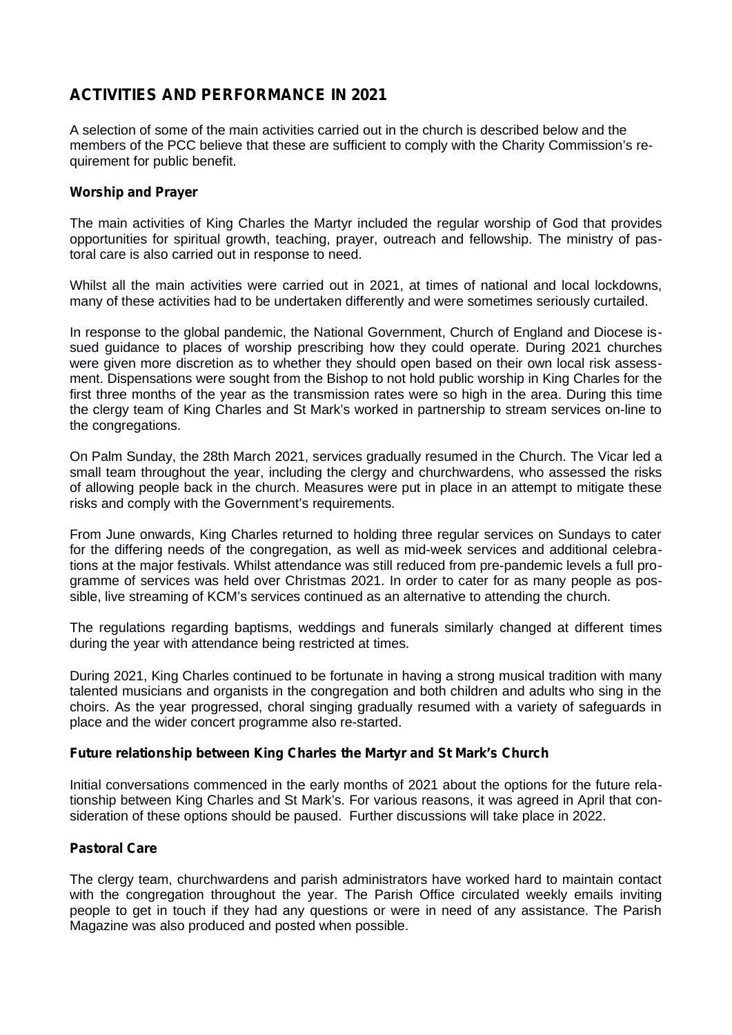# **ACTIVITIES AND PERFORMANCE IN 2021**

A selection of some of the main activities carried out in the church is described below and the members of the PCC believe that these are sufficient to comply with the Charity Commission's re quirement for public benefit.

## **Worship and Prayer**

The main activities of King Charles the Martyr included the regular worship of God that provides opportunities for spiritual growth, teaching, prayer, outreach and fellowship. The ministry of pastoral care is also carried out in response to need.

Whilst all the main activities were carried out in 2021, at times of national and local lockdowns, many of these activities had to be undertaken differently and were sometimes seriously curtailed.

In response to the global pandemic, the National Government, Church of England and Diocese issued guidance to places of worship prescribing how they could operate. During 2021 churches were given more discretion as to whether they should open based on their own local risk assessment. Dispensations were sought from the Bishop to not hold public worship in King Charles for the first three months of the year as the transmission rates were so high in the area. During this time the clergy team of King Charles and St Mark's worked in partnership to stream services on-line to the congregations.

On Palm Sunday, the 28th March 2021, services gradually resumed in the Church. The Vicar led a small team throughout the year, including the clergy and churchwardens, who assessed the risks of allowing people back in the church. Measures were put in place in an attempt to mitigate these risks and comply with the Government's requirements.

From June onwards, King Charles returned to holding three regular services on Sundays to cater for the differing needs of the congregation, as well as mid-week services and additional celebrations at the major festivals. Whilst attendance was still reduced from pre-pandemic levels a full pro gramme of services was held over Christmas 2021. In order to cater for as many people as pos sible, live streaming of KCM's services continued as an alternative to attending the church.

The regulations regarding baptisms, weddings and funerals similarly changed at different times during the year with attendance being restricted at times.

During 2021, King Charles continued to be fortunate in having a strong musical tradition with many talented musicians and organists in the congregation and both children and adults who sing in the choirs. As the year progressed, choral singing gradually resumed with a variety of safeguards in place and the wider concert programme also re-started.

## **Future relationship between King Charles the Martyr and St Mark's Church**

Initial conversations commenced in the early months of 2021 about the options for the future relationship between King Charles and St Mark's. For various reasons, it was agreed in April that con sideration of these options should be paused. Further discussions will take place in 2022.

## **Pastoral Care**

The clergy team, churchwardens and parish administrators have worked hard to maintain contact with the congregation throughout the year. The Parish Office circulated weekly emails inviting people to get in touch if they had any questions orwere in need of any assistance. The Parish Magazine was also produced and posted when possible.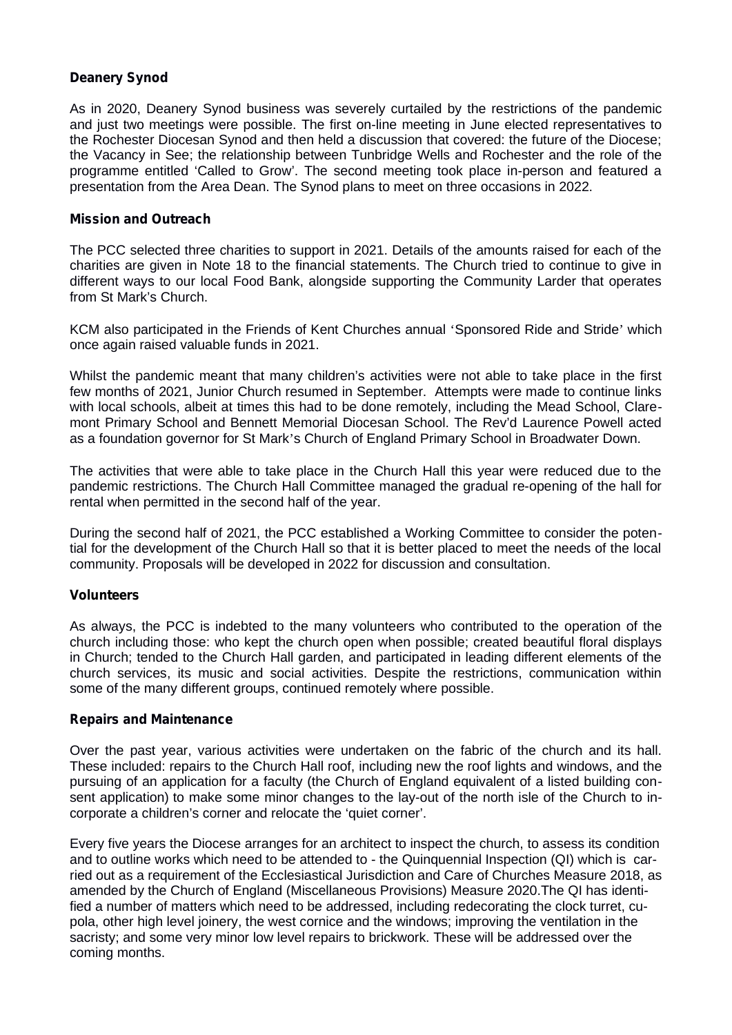### **Deanery Synod**

As in 2020, Deanery Synod business was severely curtailed by the restrictions of the pandemic and just two meetings were possible. The first on-line meeting in June elected representatives to the Rochester Diocesan Synod and then held a discussion that covered: the future of the Diocese; the Vacancy in See; the relationship between Tunbridge Wells and Rochester and the role of the programme entitled 'Called to Grow'. The second meeting took place in-person and featured a presentation from the Area Dean. The Synod plans to meet on three occasions in 2022.

### **Mission and Outreach**

The PCC selected three charities to support in 2021. Details of the amounts raised for each of the charities are given in Note 18 to the financial statements. The Church tried to continue to give in different ways to our local Food Bank, alongside supporting the Community Larder that operates from St Mark's Church.

KCM also participated in the Friends of Kent Churches annual 'Sponsored Ride and Stride' which once again raised valuable funds in 2021.

Whilst the pandemic meant that many children's activities were not able to take place in the first few months of 2021, Junior Church resumed in September. Attempts were made to continue links with local schools, albeit at times this had to be done remotely, including the Mead School, Claremont Primary School and Bennett Memorial Diocesan School. The Rev'd Laurence Powell acted as a foundation governor for St Mark's Church of England Primary School in Broadwater Down.

The activities that were able to take place in the Church Hall this year were reduced due to the pandemic restrictions. The Church Hall Committee managed the gradual re-opening of the hall for rental when permitted in the second half of the year.

During the second half of 2021, the PCC established a Working Committee to consider the potential for the development of the Church Hall so that it is better placed to meet the needs of the local community. Proposals will be developed in 2022 for discussion and consultation.

### **Volunteers**

As always, the PCC is indebted to the many volunteers who contributed to the operation of the church including those: who kept the church open when possible; created beautiful floral displays in Church; tended to the Church Hall garden, and participated in leading different elements of the church services, its music and social activities. Despite the restrictions, communication within some of the many different groups, continued remotely where possible.

### **Repairs and Maintenance**

Over the past year, various activities were undertaken on the fabric of the church and its hall. These included: repairs to the Church Hall roof, including new the rooflights and windows, and the pursuing of an application for a faculty (the Church of England equivalent of a listed building con sent application) to make some minor changes to the lay-out of the north isle of the Church to in corporate a children's corner and relocate the 'quiet corner'.

Every five years the Diocese arranges for an architect to inspect the church, to assess its condition and to outline works which need to be attended to - the Quinquennial Inspection (QI) which is carried out as a requirement of the Ecclesiastical Jurisdiction and Care of Churches Measure 2018, as amended by the Church of England (Miscellaneous Provisions) Measure 2020.The QI has identified a number of matters which need to be addressed, including redecorating the clock turret, cu pola, other high level joinery, the west cornice and the windows; improving the ventilation in the sacristy; and some very minor low level repairs to brickwork. These will be addressed over the coming months.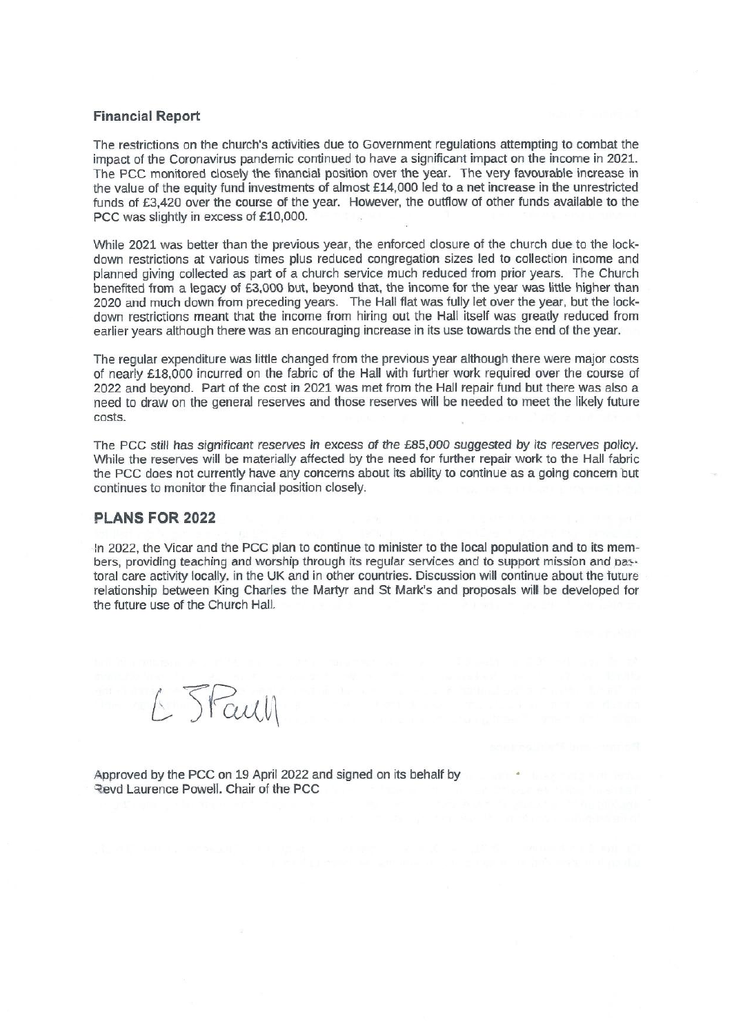### **Financial Report**

The restrictions on the church's activities due to Government regulations attempting to combat the impact of the Coronavirus pandemic continued to have a significant impact on the income in 2021. The PCC monitored closely the financial position over the year. The very favourable increase in the value of the equity fund investments of almost £14,000 led to a net increase in the unrestricted funds of £3,420 over the course of the year. However, the outflow of other funds available to the PCC was slightly in excess of £10,000.

While 2021 was better than the previous year, the enforced closure of the church due to the lockdown restrictions at various times plus reduced congregation sizes led to collection income and planned giving collected as part of a church service much reduced from prior years. The Church benefited from a legacy of £3,000 but, beyond that, the income for the year was little higher than 2020 and much down from preceding years. The Hall flat was fully let over the year, but the lockdown restrictions meant that the income from hiring out the Hall itself was greatly reduced from earlier vears although there was an encouraging increase in its use towards the end of the year.

The regular expenditure was little changed from the previous year although there were major costs of nearly £18,000 incurred on the fabric of the Hall with further work required over the course of 2022 and bevond. Part of the cost in 2021 was met from the Hall repair fund but there was also a need to draw on the general reserves and those reserves will be needed to meet the likely future costs.

The PCC still has significant reserves in excess of the £85,000 suggested by its reserves policy. While the reserves will be materially affected by the need for further repair work to the Hall fabric the PCC does not currently have any concerns about its ability to continue as a going concern but continues to monitor the financial position closely.

### **PLANS FOR 2022**

In 2022, the Vicar and the PCC plan to continue to minister to the local population and to its members, providing teaching and worship through its regular services and to support mission and pastoral care activity locally, in the UK and in other countries. Discussion will continue about the future relationship between King Charles the Martyr and St Mark's and proposals will be developed for the future use of the Church Hall.

1. SPaul

Approved by the PCC on 19 April 2022 and signed on its behalf by Revd Laurence Powell. Chair of the PCC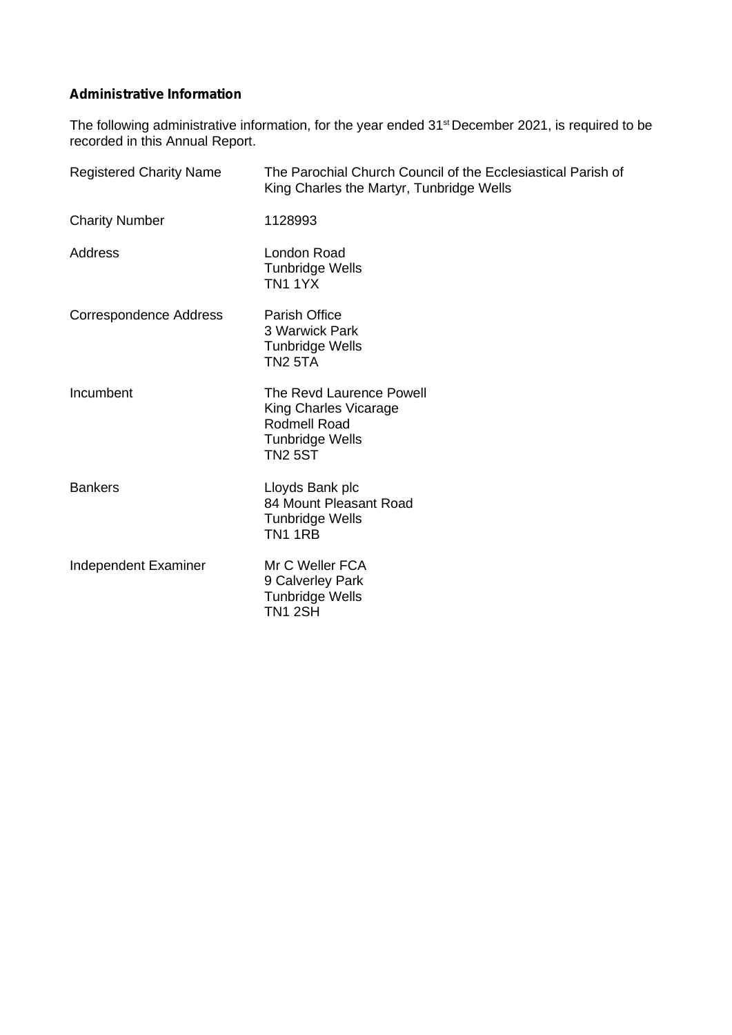## **Administrative Information**

The following administrative information, for the year ended  $31^{\rm st}$ December 2021, is required to be recorded in this Annual Report.

| <b>Registered Charity Name</b> | The Parochial Church Council of the Ecclesiastical Parish of<br>King Charles the Martyr, Tunbridge Wells      |
|--------------------------------|---------------------------------------------------------------------------------------------------------------|
| <b>Charity Number</b>          | 1128993                                                                                                       |
| Address                        | London Road<br><b>Tunbridge Wells</b><br><b>TN1 1YX</b>                                                       |
| Correspondence Address         | Parish Office<br>3 Warwick Park<br><b>Tunbridge Wells</b><br><b>TN2 5TA</b>                                   |
| Incumbent                      | The Revd Laurence Powell<br>King Charles Vicarage<br>Rodmell Road<br><b>Tunbridge Wells</b><br><b>TN2 5ST</b> |
| <b>Bankers</b>                 | Lloyds Bank plc<br>84 Mount Pleasant Road<br><b>Tunbridge Wells</b><br>TN1 1RB                                |
| Independent Examiner           | Mr C Weller FCA<br>9 Calverley Park<br><b>Tunbridge Wells</b><br><b>TN1 2SH</b>                               |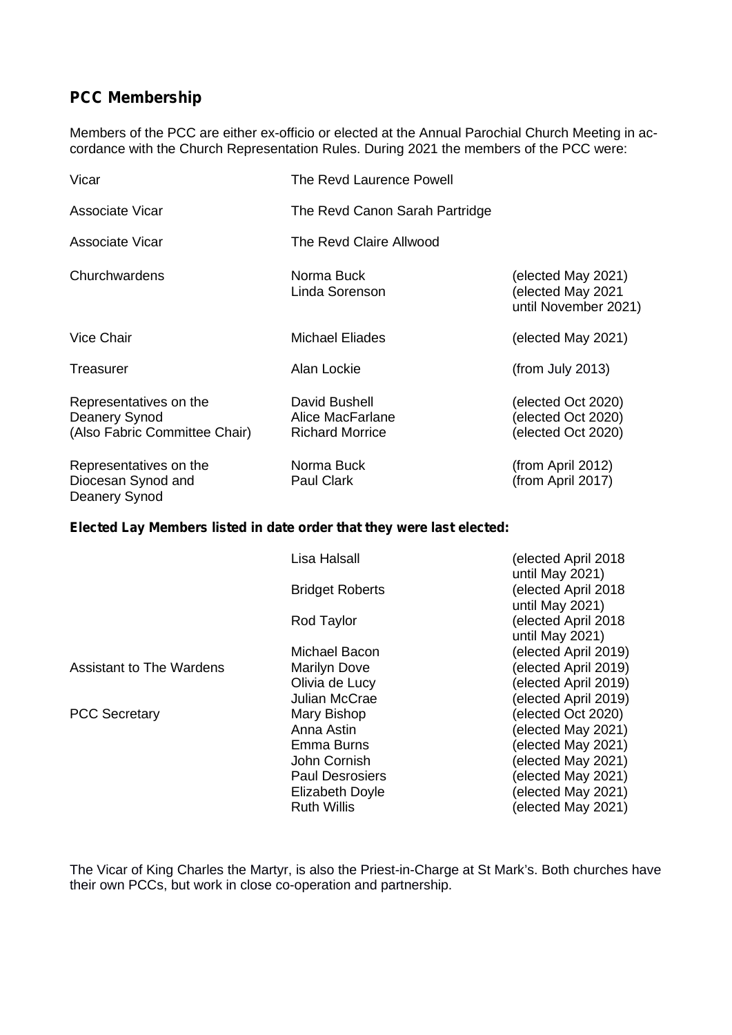## **PCC Membership**

Members of the PCC are either ex-officio or elected at the Annual Parochial Church Meeting in ac-cordance with the Church Representation Rules. During <sup>2021</sup> the members of the PCC were:

| Vicar                                                                    | The Revd Laurence Powell                                    |                                                                 |
|--------------------------------------------------------------------------|-------------------------------------------------------------|-----------------------------------------------------------------|
| Associate Vicar                                                          | The Revd Canon Sarah Partridge                              |                                                                 |
| Associate Vicar                                                          | The Revd Claire Allwood                                     |                                                                 |
| Churchwardens                                                            | Norma Buck<br>Linda Sorenson                                | (elected May 2021)<br>(elected May 2021<br>until November 2021) |
| <b>Vice Chair</b>                                                        | <b>Michael Eliades</b>                                      | (elected May 2021)                                              |
| Treasurer                                                                | Alan Lockie                                                 | (from July 2013)                                                |
| Representatives on the<br>Deanery Synod<br>(Also Fabric Committee Chair) | David Bushell<br>Alice MacFarlane<br><b>Richard Morrice</b> | (elected Oct 2020)<br>(elected Oct 2020)<br>(elected Oct 2020)  |
| Representatives on the<br>Diocesan Synod and<br>Deanery Synod            | Norma Buck<br>Paul Clark                                    | (from April 2012)<br>(from April 2017)                          |

### **Elected Lay Members listed in date order that they were last elected:**

|                          | Lisa Halsall           | elected April 2018)<br>until May 2021) |
|--------------------------|------------------------|----------------------------------------|
|                          | <b>Bridget Roberts</b> | elected April 2018)<br>until May 2021) |
|                          | Rod Taylor             | (elected April 2018<br>until May 2021) |
|                          | Michael Bacon          | (elected April 2019)                   |
| Assistant to The Wardens | Marilyn Dove           | (elected April 2019)                   |
|                          | Olivia de Lucy         | (elected April 2019)                   |
|                          | Julian McCrae          | (elected April 2019)                   |
| <b>PCC Secretary</b>     | Mary Bishop            | (elected Oct 2020)                     |
|                          | Anna Astin             | (elected May 2021)                     |
|                          | Emma Burns             | (elected May 2021)                     |
|                          | John Cornish           | (elected May 2021)                     |
|                          | <b>Paul Desrosiers</b> | (elected May 2021)                     |
|                          | <b>Elizabeth Doyle</b> | (elected May 2021)                     |
|                          | <b>Ruth Willis</b>     | (elected May 2021)                     |

The Vicar of King Charles the Martyr, is also the Priest-in-Charge at St Mark's. Both churches have their own PCCs, but work in close co-operation and partnership.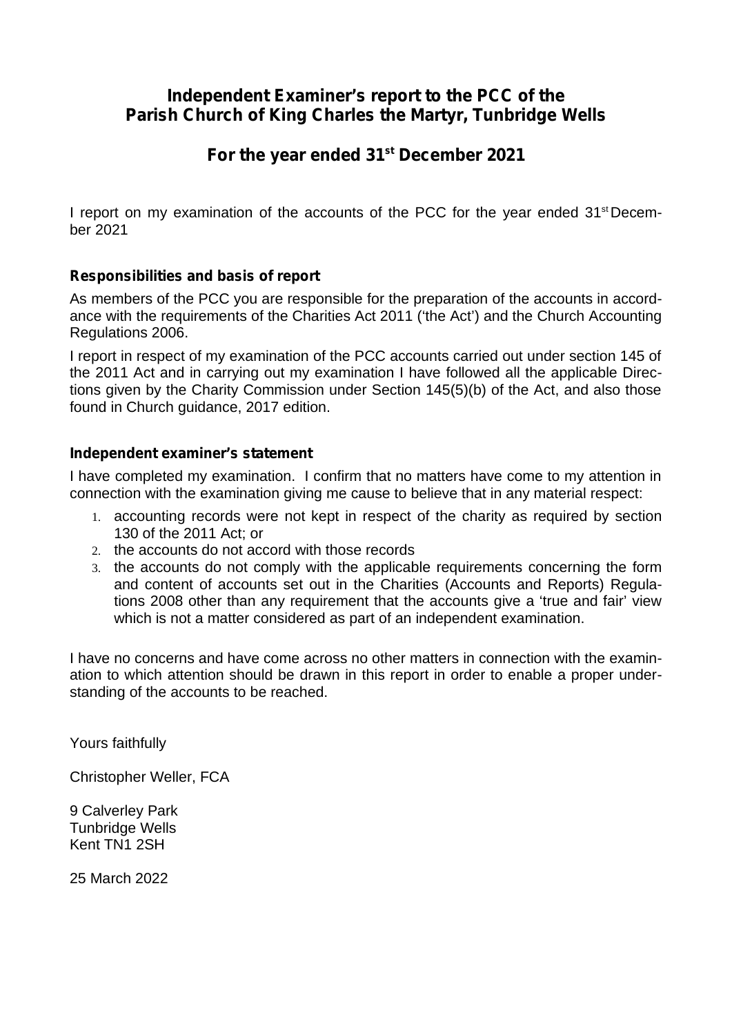# **Independent Examiner's report to the PCC of the Parish Church of King Charles the Martyr, Tunbridge Wells**

# **For the year ended 31 st December 2021**

I report on my examination of the accounts of the PCC for the year ended 31<sup>st</sup> December 2021

## **Responsibilities and basis of report**

As members of the PCC you are responsible for the preparation of the accounts in accord ance with the requirements of the Charities Act 2011 ('the Act') and the Church Accounting Regulations 2006.

I report in respect of my examination of the PCC accounts carried out under section 145 of the 2011 Act and in carrying out my examination I have followed all the applicable Directions given by the Charity Commission under Section 145(5)(b) of the Act, and also those found in Church guidance, 2017 edition.

## **Independent examiner's statement**

I have completed my examination. I confirm that no matters have come to my attention in connection with the examination giving me cause to believe that in any material respect:

- 1. accounting records were not kept in respect of the charity as required by section 130 of the 2011 Act; or
- 2. the accounts do not accord with those records
- 3. the accounts do not comply with the applicable requirements concerning the form and content of accounts set out in the Charities (Accounts and Reports) Regulations 2008 other than any requirement that the accounts give a 'true and fair' view which is not a matter considered as part of an independent examination.

I have no concerns and have come across no other matters in connection with the examin ation to which attention should be drawn in this report in order to enable a proper under standing of the accounts to be reached.

Yours faithfully

Christopher Weller, FCA

9 Calverley Park Tunbridge Wells Kent TN1 2SH

25 March 2022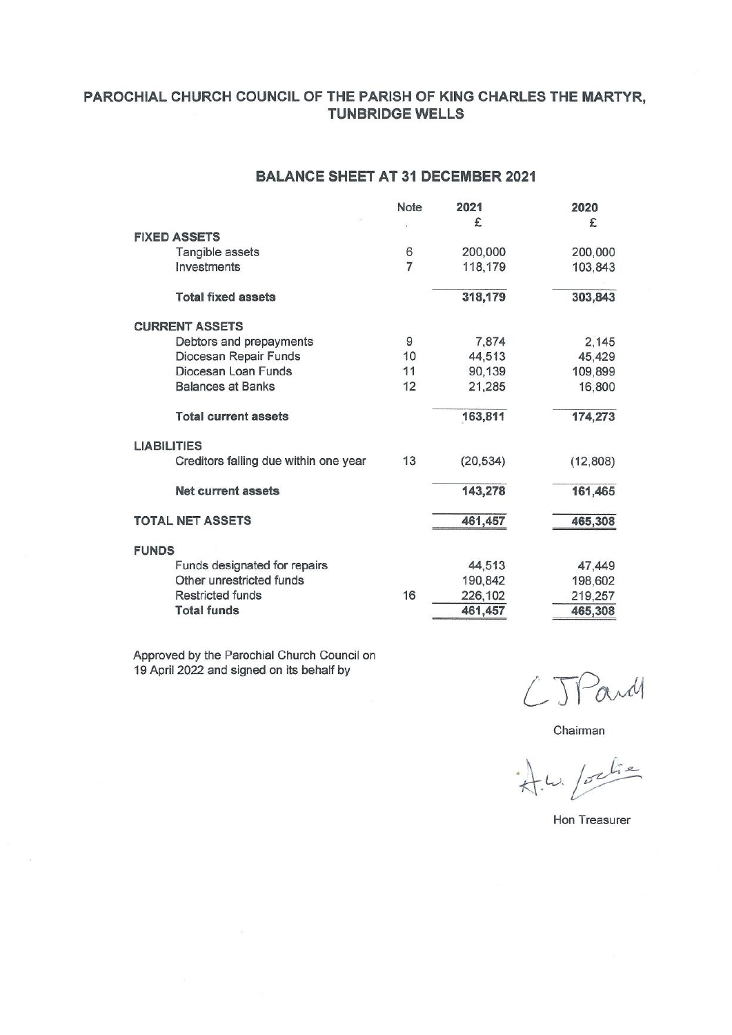## PAROCHIAL CHURCH COUNCIL OF THE PARISH OF KING CHARLES THE MARTYR, **TUNBRIDGE WELLS**

## **BALANCE SHEET AT 31 DECEMBER 2021**

|                                       | Note           | 2021      | 2020     |
|---------------------------------------|----------------|-----------|----------|
|                                       |                | £         | £        |
| <b>FIXED ASSETS</b>                   |                |           |          |
| Tangible assets                       | 6              | 200,000   | 200,000  |
| Investments                           | $\overline{7}$ | 118,179   | 103,843  |
| <b>Total fixed assets</b>             |                | 318,179   | 303,843  |
| <b>CURRENT ASSETS</b>                 |                |           |          |
| Debtors and prepayments               | 9              | 7,874     | 2,145    |
| Diocesan Repair Funds                 | 10             | 44,513    | 45,429   |
| Diocesan Loan Funds                   | 11             | 90,139    | 109,899  |
| <b>Balances at Banks</b>              | 12             | 21,285    | 16,800   |
| <b>Total current assets</b>           |                | 163,811   | 174,273  |
| <b>LIABILITIES</b>                    |                |           |          |
| Creditors falling due within one year | 13             | (20, 534) | (12,808) |
| <b>Net current assets</b>             |                | 143,278   | 161,465  |
| <b>TOTAL NET ASSETS</b>               |                | 461,457   | 465,308  |
| <b>FUNDS</b>                          |                |           |          |
| Funds designated for repairs          |                | 44,513    | 47,449   |
| Other unrestricted funds              |                | 190,842   | 198,602  |
| Restricted funds                      | 16             | 226,102   | 219,257  |
| <b>Total funds</b>                    |                | 461,457   | 465,308  |

Approved by the Parochial Church Council on<br>19 April 2022 and signed on its behalf by

and  $CJf$ 

 $\begin{array}{c}\n\bigcup_{v \in V} \mathcal{U} & \mathcal{U} \\
\downarrow \mathcal{U} & \mathcal{U} \\
\downarrow \mathcal{U} & \mathcal{U} \\
\downarrow \mathcal{U} & \mathcal{U} \\
\downarrow \mathcal{U} & \mathcal{U} \\
\downarrow \mathcal{U} & \mathcal{U} \\
\downarrow \mathcal{U} & \mathcal{U} \\
\downarrow \mathcal{U} & \mathcal{U} \\
\downarrow \mathcal{U} & \mathcal{U} \\
\downarrow \mathcal{U} & \mathcal{U} \\
\downarrow \mathcal{U} & \mathcal{U} \\
\downarrow \mathcal{U} & \mathcal{U} \\
\down$ 

Hon Treasurer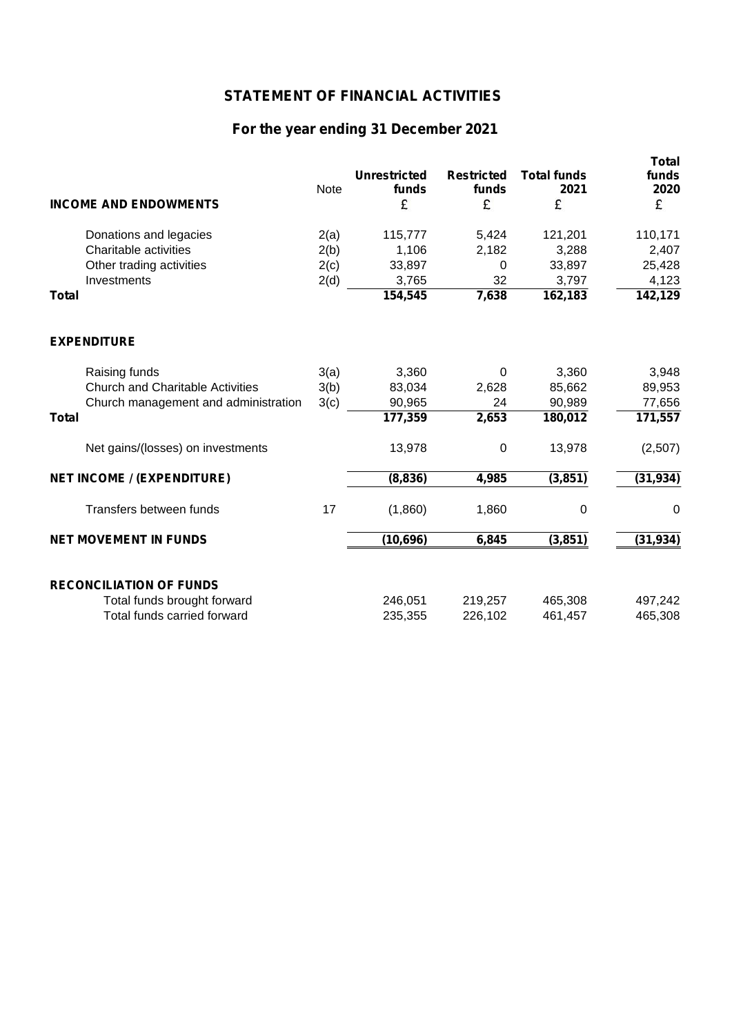# **STATEMENT OF FINANCIAL ACTIVITIES**

# **For the year ending 31 December 2021**

| <b>INCOME AND ENDOWMENTS</b>            | Note | <b>Unrestricted</b><br>funds<br>£ | <b>Restricted</b><br>funds<br>£ | <b>Total funds</b><br>2021<br>£ | Total<br>funds<br>2020<br>£ |
|-----------------------------------------|------|-----------------------------------|---------------------------------|---------------------------------|-----------------------------|
| Donations and legacies                  | 2(a) | 115,777                           | 5,424                           | 121,201                         | 110,171                     |
| Charitable activities                   | 2(b) | 1,106                             | 2,182                           | 3,288                           | 2,407                       |
| Other trading activities                | 2(c) | 33,897                            | 0                               | 33,897                          | 25,428                      |
| Investments                             | 2(d) | 3,765                             | 32                              | 3,797                           | 4,123                       |
| <b>Total</b>                            |      | 154,545                           | 7,638                           | 162,183                         | 142,129                     |
| <b>EXPENDITURE</b>                      |      |                                   |                                 |                                 |                             |
| Raising funds                           | 3(a) | 3,360                             | 0                               | 3,360                           | 3,948                       |
| <b>Church and Charitable Activities</b> | 3(b) | 83,034                            | 2,628                           | 85,662                          | 89,953                      |
| Church management and administration    | 3(c) | 90,965                            | 24                              | 90,989                          | 77,656                      |
| <b>Total</b>                            |      | 177,359                           | 2,653                           | 180,012                         | 171,557                     |
| Net gains/(losses) on investments       |      | 13,978                            | 0                               | 13,978                          | (2,507)                     |
| <b>NET INCOME / (EXPENDITURE)</b>       |      | (8,836)                           | 4,985                           | (3, 851)                        | (31, 934)                   |
| Transfers between funds                 | 17   | (1,860)                           | 1,860                           | 0                               | 0                           |
| <b>NET MOVEMENT IN FUNDS</b>            |      | (10, 696)                         | 6,845                           | (3,851)                         | (31, 934)                   |
| <b>RECONCILIATION OF FUNDS</b>          |      |                                   |                                 |                                 |                             |
| Total funds brought forward             |      | 246,051                           | 219,257                         | 465,308                         | 497,242                     |
| Total funds carried forward             |      | 235,355                           | 226,102                         | 461,457                         | 465,308                     |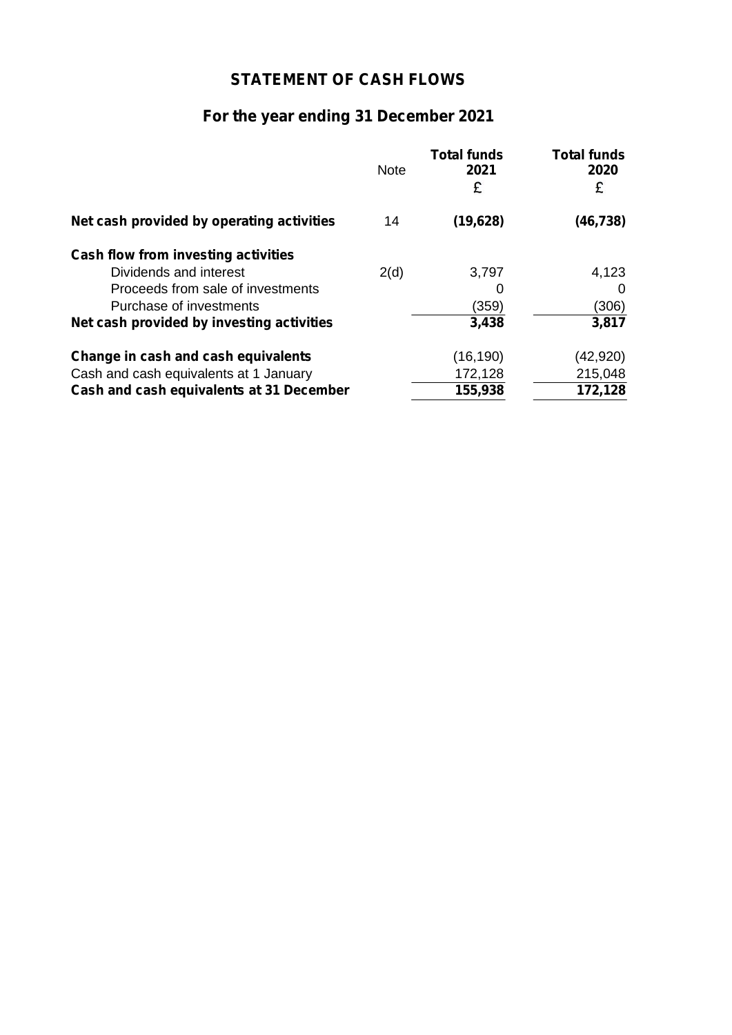# **STATEMENT OF CASH FLOWS**

# **For the year ending 31 December 2021**

|                                           | <b>Note</b> | <b>Total funds</b><br>2021<br>£ | <b>Total funds</b><br>2020<br>£ |
|-------------------------------------------|-------------|---------------------------------|---------------------------------|
| Net cash provided by operating activities | 14          | (19, 628)                       | (46, 738)                       |
| Cash flow from investing activities       |             |                                 |                                 |
| Dividends and interest                    | 2(d)        | 3,797                           | 4,123                           |
| Proceeds from sale of investments         |             | 0                               | O                               |
| Purchase of investments                   |             | (359)                           | (306)                           |
| Net cash provided by investing activities |             | 3,438                           | 3,817                           |
| Change in cash and cash equivalents       |             | (16, 190)                       | (42, 920)                       |
| Cash and cash equivalents at 1 January    |             | 172,128                         | 215,048                         |
| Cash and cash equivalents at 31 December  |             | 155,938                         | 172,128                         |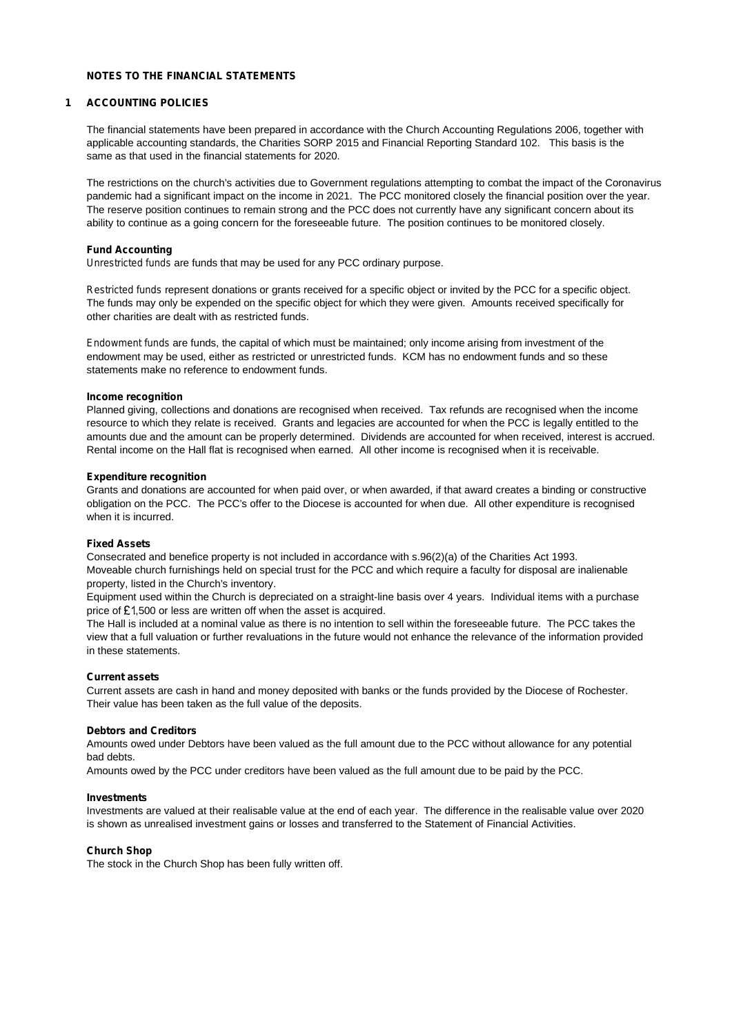### **NOTES TO THE FINANCIAL STATEMENTS**

#### **1 ACCOUNTING POLICIES**

The financial statements have been prepared in accordance with the Church Accounting Regulations 2006, together with applicable accounting standards, the Charities SORP 2015 and Financial Reporting Standard 102. This basis is the same as that used in the financial statements for 2020.

The restrictions on the church's activities due to Government regulations attempting to combat the impact of the Coronavirus pandemic had a significant impact on the income in 2021. The PCC monitored closely the financial position over the year. The reserve position continues to remain strong and the PCC does not currently have any significant concern about its ability to continue as a going concern for the foreseeable future. The position continues to be monitored closely.

#### **Fund Accounting**

*Unrestricted funds* are funds that may be used for any PCC ordinary purpose.

The funds may only be expended on the specific object for which they were given. Amounts received specifically for other charities are dealt with as restricted funds. *Restricted funds* represent donations orgrants received for a specific object or invited by the PCC for a specific object.

endowment may be used, either as restricted or unrestricted funds. KCM has no endowment funds and so these statements make no reference to endowment funds. *Endowment funds* are funds, the capital of which must be maintained; only income arising from investment of the

#### **Income recognition**

Planned giving, collections and donations are recognised when received. Tax refunds are recognised when the income resource to which they relate is received. Grants and legacies are accounted for when the PCC is legally entitled to the amounts due and the amount can be properly determined. Dividends are accounted for when received, interest is accrued. Rental income on the Hall flat is recognised when earned. All other income is recognised when it is receivable.

#### **Expenditure recognition**

Grants and donations are accounted for when paid over, or when awarded, if that award creates a binding or constructive obligation on the PCC. The PCC's offer to the Diocese is accounted for when due. All other expenditure is recognised when it is incurred.

#### **Fixed Assets**

Consecrated and benefice property is not included in accordance with s.96(2)(a) of the Charities Act 1993. Moveable church furnishings held on special trust for the PCC and which require a faculty for disposal are inalienable property, listed in the Church's inventory.

Equipment used within the Church is depreciated on a straight-line basis over 4 years. Individual items with a purchase price of  $£1,500$  or less are written off when the asset is acquired.

The Hall is included at a nominal value as there is no intention to sell within the foreseeable future. The PCC takes the view that a full valuation or further revaluations in the future would not enhance the relevance of the information provided in these statements.

#### **Current assets**

Current assets are cash in hand and money deposited with banks or the funds provided by the Diocese of Rochester. Their value has been taken as the full value of the deposits.

#### **Debtors and Creditors**

Amounts owed under Debtors have been valued as the full amount due to the PCC without allowance for any potential bad debts.

Amounts owed by the PCC under creditors have been valued as the full amount due to be paid by the PCC.

#### **Investments**

Investments are valued at their realisable value at the end of each year. The difference in the realisable value over 2020 is shown as unrealised investment gains or losses and transferred to the Statement of Financial Activities.

#### **Church Shop**

The stock in the Church Shop has been fully written off.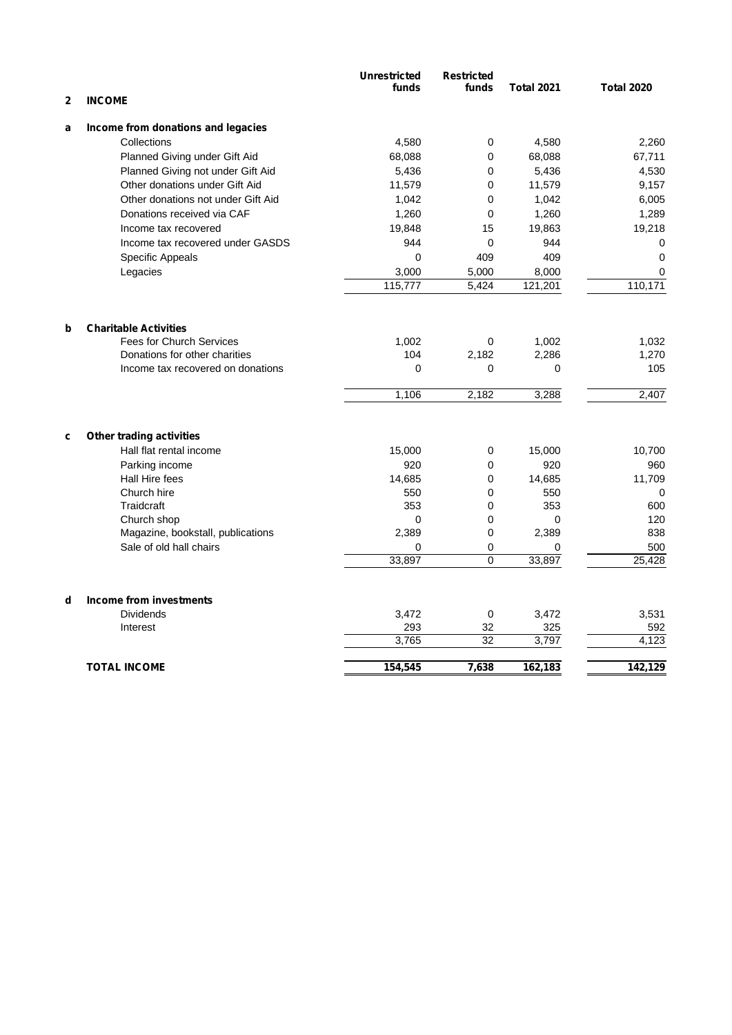|                                         | <b>Unrestricted</b> | <b>Restricted</b> |                   |                   |
|-----------------------------------------|---------------------|-------------------|-------------------|-------------------|
|                                         | funds               | funds             | <b>Total 2021</b> | <b>Total 2020</b> |
| <b>INCOME</b><br>$\mathbf{2}$           |                     |                   |                   |                   |
| Income from donations and legacies<br>a |                     |                   |                   |                   |
| Collections                             | 4,580               | 0                 | 4,580             | 2,260             |
| Planned Giving under Gift Aid           | 68,088              | 0                 | 68,088            | 67,711            |
| Planned Giving not under Gift Aid       | 5,436               | 0                 | 5,436             | 4,530             |
| Other donations under Gift Aid          | 11,579              | 0                 | 11,579            | 9,157             |
| Other donations not under Gift Aid      | 1,042               | 0                 | 1,042             | 6,005             |
| Donations received via CAF              | 1,260               | 0                 | 1,260             | 1,289             |
| Income tax recovered                    | 19,848              | 15                | 19,863            | 19,218            |
| Income tax recovered under GASDS        | 944                 | 0                 | 944               | 0                 |
| Specific Appeals                        | $\mathbf 0$         | 409               | 409               | 0                 |
| Legacies                                | 3,000               | 5,000             | 8,000             | 0                 |
|                                         | 115,777             | 5,424             | 121,201           | 110,171           |
|                                         |                     |                   |                   |                   |
| <b>Charitable Activities</b>            |                     |                   |                   |                   |
| <b>Fees for Church Services</b>         | 1,002               | 0                 | 1,002             | 1,032             |
| Donations for other charities           | 104                 | 2,182             | 2,286             | 1,270             |
| Income tax recovered on donations       | $\mathbf 0$         | 0                 | $\mathbf 0$       | 105               |
|                                         | 1,106               | 2,182             | 3,288             | 2,407             |
| Other trading activities<br>c           |                     |                   |                   |                   |
| Hall flat rental income                 | 15,000              | 0                 | 15,000            | 10,700            |
| Parking income                          | 920                 | 0                 | 920               | 960               |
| Hall Hire fees                          | 14,685              | 0                 | 14,685            | 11,709            |
| Church hire                             | 550                 | 0                 | 550               | 0                 |
| Traidcraft                              | 353                 | 0                 | 353               | 600               |
| Church shop                             | 0                   | 0                 | 0                 | 120               |
| Magazine, bookstall, publications       | 2,389               | 0                 | 2,389             | 838               |
| Sale of old hall chairs                 | 0                   | 0                 | 0                 | 500               |
|                                         | 33,897              | 0                 | 33,897            | 25,428            |
|                                         |                     |                   |                   |                   |
| Income from investments                 |                     |                   |                   |                   |
| <b>Dividends</b>                        | 3,472               | 0                 | 3,472             | 3,531             |
| Interest                                | 293                 | 32                | 325               | 592               |
|                                         | 3,765               | $\overline{32}$   | 3,797             | 4,123             |
| <b>TOTAL INCOME</b>                     | 154,545             | 7,638             | 162,183           | 142,129           |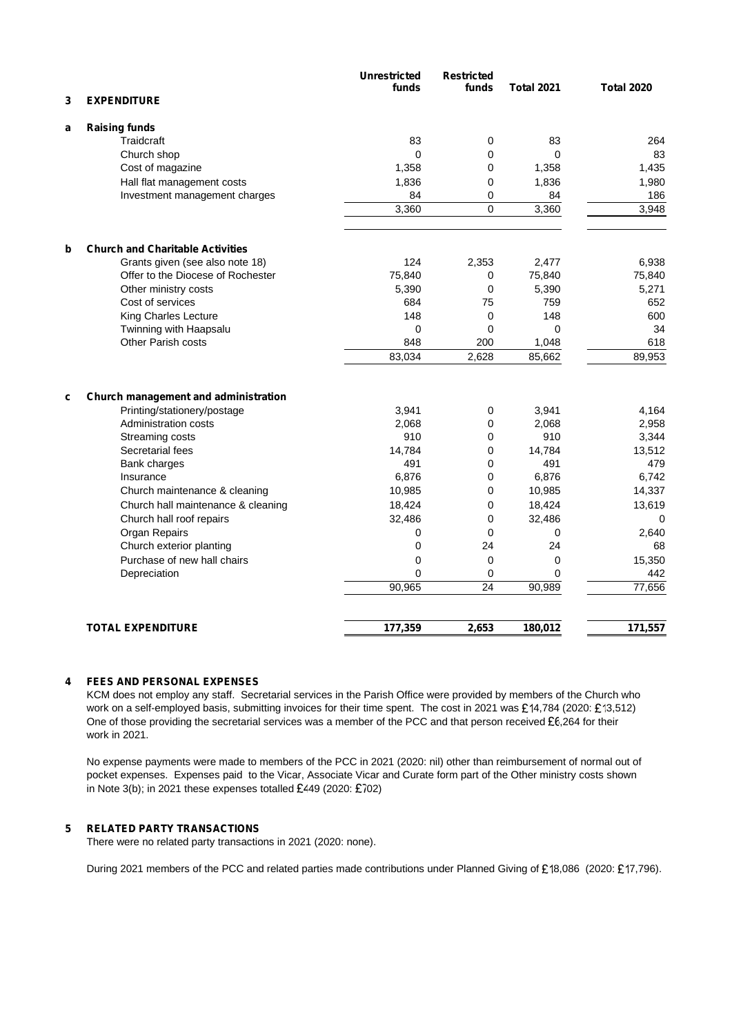|   |                                                     | <b>Unrestricted</b> | <b>Restricted</b> |                   |                   |
|---|-----------------------------------------------------|---------------------|-------------------|-------------------|-------------------|
|   | <b>EXPENDITURE</b>                                  | funds               | funds             | <b>Total 2021</b> | <b>Total 2020</b> |
| 3 |                                                     |                     |                   |                   |                   |
| a | <b>Raising funds</b>                                |                     |                   |                   |                   |
|   | Traidcraft                                          | 83                  | 0                 | 83                | 264               |
|   | Church shop                                         | 0                   | $\mathbf 0$       | $\Omega$          | 83                |
|   | Cost of magazine                                    | 1,358               | $\mathbf 0$       | 1,358             | 1,435             |
|   | Hall flat management costs                          | 1,836               | 0                 | 1,836             | 1,980             |
|   | Investment management charges                       | 84                  | 0                 | 84                | 186               |
|   |                                                     | 3,360               | $\Omega$          | 3,360             | 3,948             |
|   |                                                     |                     |                   |                   |                   |
| b | <b>Church and Charitable Activities</b>             |                     |                   |                   |                   |
|   | Grants given (see also note 18)                     | 124                 | 2,353             | 2,477             | 6,938             |
|   | Offer to the Diocese of Rochester                   | 75,840              | 0                 | 75,840            | 75,840            |
|   | Other ministry costs                                | 5,390               | $\mathbf 0$       | 5,390             | 5,271             |
|   | Cost of services                                    | 684                 | 75                | 759               | 652               |
|   | King Charles Lecture                                | 148                 | $\Omega$          | 148               | 600               |
|   | Twinning with Haapsalu                              | 0                   | 0                 | 0                 | 34                |
|   | Other Parish costs                                  | 848                 | 200               | 1,048             | 618               |
|   |                                                     | 83,034              | 2,628             | 85,662            | 89,953            |
|   |                                                     |                     |                   |                   |                   |
| C | Church management and administration                |                     |                   |                   |                   |
|   | Printing/stationery/postage<br>Administration costs | 3,941<br>2,068      | $\mathbf 0$<br>0  | 3,941<br>2,068    | 4,164<br>2,958    |
|   |                                                     | 910                 | $\mathbf 0$       | 910               | 3,344             |
|   | Streaming costs<br>Secretarial fees                 | 14,784              | 0                 | 14,784            | 13,512            |
|   |                                                     | 491                 | 0                 | 491               | 479               |
|   | Bank charges<br>Insurance                           | 6,876               | $\mathbf 0$       | 6,876             | 6,742             |
|   | Church maintenance & cleaning                       | 10,985              | $\mathbf 0$       | 10,985            | 14,337            |
|   |                                                     |                     |                   |                   |                   |
|   | Church hall maintenance & cleaning                  | 18,424              | $\mathbf 0$       | 18,424            | 13,619            |
|   | Church hall roof repairs                            | 32,486              | 0                 | 32,486            | 0                 |
|   | Organ Repairs                                       | 0                   | $\Omega$          | $\Omega$          | 2,640             |
|   | Church exterior planting                            | 0                   | 24                | 24                | 68                |
|   | Purchase of new hall chairs                         | 0                   | $\mathbf 0$       | $\mathbf 0$       | 15,350            |
|   | Depreciation                                        | $\mathbf 0$         | $\mathbf 0$       | $\mathbf 0$       | 442               |
|   |                                                     | 90,965              | 24                | 90,989            | 77,656            |
|   | <b>TOTAL EXPENDITURE</b>                            | 177,359             | 2,653             | 180,012           | 171,557           |
|   |                                                     |                     |                   |                   |                   |

### **4 FEES AND PERSONAL EXPENSES**

KCM does not employ any staff. Secretarial services in the Parish Office were provided by members of the Church who work on a self-employed basis, submitting invoices for their time spent. The cost in 2021 was £14,784 (2020: £13,512) One of those providing the secretarial services was a member of the PCC and that person received  $E6,264$  for their work in 2021.

No expense payments were made to members of the PCC in 2021 (2020: nil) other than reimbursement of normal out of pocket expenses. Expenses paid to the Vicar, Associate Vicar and Curate form part of the Other ministry costs shown in Note 3(b); in 2021 these expenses totalled  $E449$  (2020:  $E702$ )

### **5 RELATED PARTY TRANSACTIONS**

There were no related party transactions in 2021 (2020: none).

During 2021 members of the PCC and related parties made contributions under Planned Giving of £18,086 (2020: £17,796).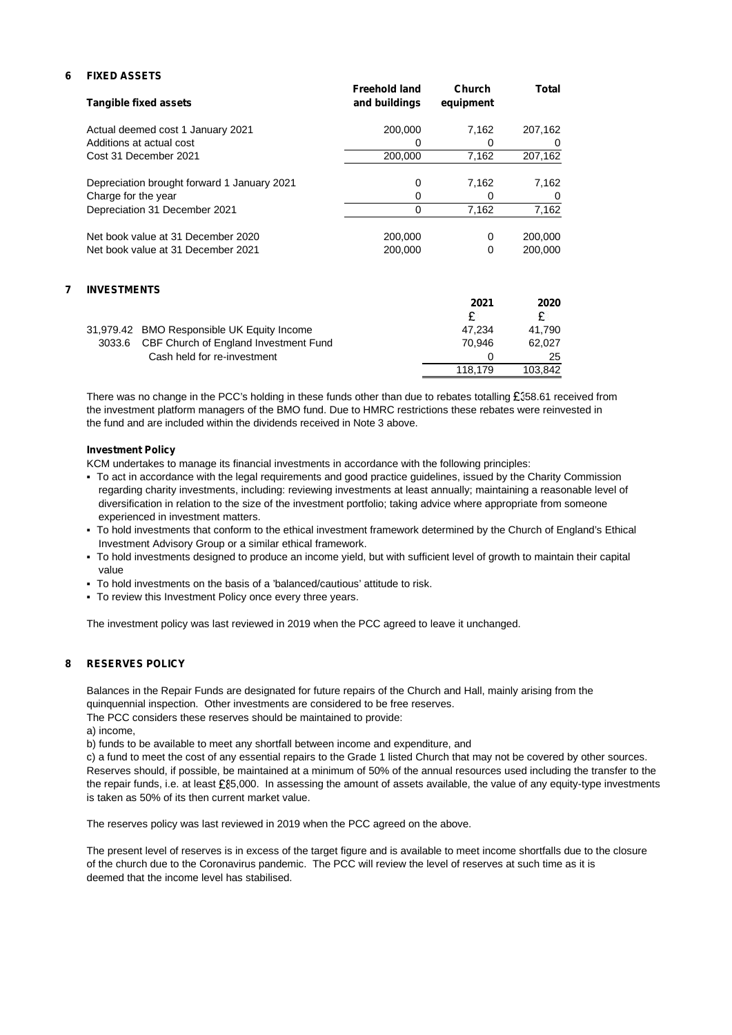### **6 FIXED ASSETS**

| Tangible fixed assets                                                    | <b>Freehold land</b><br>and buildings | Church<br>equipment | Total              |  |
|--------------------------------------------------------------------------|---------------------------------------|---------------------|--------------------|--|
| Actual deemed cost 1 January 2021                                        | 200,000                               | 7.162               | 207,162            |  |
| Additions at actual cost                                                 | 0                                     | 0                   | 0                  |  |
| Cost 31 December 2021                                                    | 200,000                               | 7.162               | 207,162            |  |
| Depreciation brought forward 1 January 2021                              | 0                                     | 7.162               | 7,162              |  |
| Charge for the year                                                      | 0                                     | 0                   | 0                  |  |
| Depreciation 31 December 2021                                            | 0                                     | 7,162               | 7,162              |  |
| Net book value at 31 December 2020<br>Net book value at 31 December 2021 | 200,000<br>200.000                    | 0<br>0              | 200,000<br>200,000 |  |

### **7 INVESTMENTS**

|        |                                            | 2021    | 2020    |  |  |
|--------|--------------------------------------------|---------|---------|--|--|
|        |                                            |         |         |  |  |
|        | 31,979.42 BMO Responsible UK Equity Income | 47.234  | 41.790  |  |  |
| 3033.6 | CBF Church of England Investment Fund      | 70.946  | 62.027  |  |  |
|        | Cash held for re-investment                |         | 25      |  |  |
|        |                                            | 118.179 | 103.842 |  |  |

There was no change in the PCC's holding in these funds other than due to rebates totalling £358.61 received from the investment platform managers of the BMO fund. Due to HMRC restrictions these rebates were reinvested in the fund and are included within the dividends received in Note 3 above.

### **Investment Policy**

KCM undertakes to manage its financial investments in accordance with the following principles:

To act in accordance with the legal requirements and good practice guidelines, issued by the Charity Commission regarding charity investments, including: reviewing investments at least annually; maintaining a reasonable level of diversification in relation to the size of the investment portfolio; taking advice where appropriate from someone experienced in investment matters.

To hold investments that conform to the ethical investment framework determined by the Church of England's Ethical Investment Advisory Group or a similar ethical framework.

To hold investments designed to produce an income yield, but with sufficient level of growth to maintain their capital value

To hold investments on the basis of a 'balanced/cautious' attitude to risk.

To review this Investment Policy once every three years.

The investment policy was last reviewed in 2019 when the PCC agreed to leave it unchanged.

### **8 RESERVES POLICY**

Balances in the Repair Funds are designated for future repairs of the Church and Hall, mainly arising from the quinquennial inspection. Other investments are considered to be free reserves.

The PCC considers these reserves should be maintained to provide:

a) income,

b) funds to be available to meet any shortfall between income and expenditure, and

c) a fund to meet the cost of any essential repairs to the Grade 1 listed Church that may not be covered by other sources. Reserves should, if possible, be maintained at a minimum of 50% of the annual resources used including the transfer to the the repair funds, i.e. at least £85,000. In assessing the amount of assets available, the value of any equity-type investments is taken as 50% of its then current market value.

The reserves policy was last reviewed in 2019 when the PCC agreed on the above.

The present level of reserves is in excess of the target figure and is available to meet income shortfalls due to the closure of the church due to the Coronavirus pandemic. The PCC will review the level of reserves at such time as it is deemed that the income level has stabilised.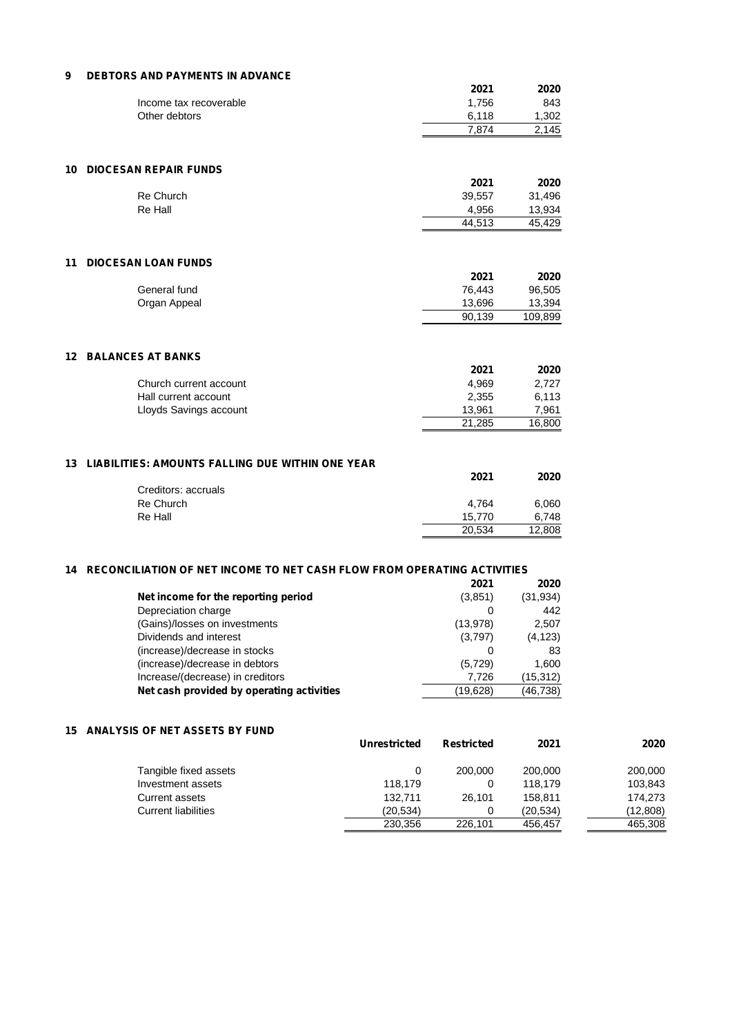### **9 DEBTORS AND PAYMENTS IN ADVANCE**

|                                                                            | 2021        | 2020      |
|----------------------------------------------------------------------------|-------------|-----------|
| Income tax recoverable                                                     | 1,756       | 843       |
| Other debtors                                                              | 6,118       | 1,302     |
|                                                                            | 7,874       | 2,145     |
|                                                                            |             |           |
| <b>DIOCESAN REPAIR FUNDS</b><br>10                                         |             |           |
|                                                                            | 2021        | 2020      |
| Re Church                                                                  | 39,557      | 31,496    |
| Re Hall                                                                    | 4,956       | 13,934    |
|                                                                            | 44,513      | 45,429    |
| 11<br><b>DIOCESAN LOAN FUNDS</b>                                           |             |           |
|                                                                            | 2021        | 2020      |
| General fund                                                               | 76,443      | 96,505    |
| Organ Appeal                                                               | 13,696      | 13,394    |
|                                                                            | 90,139      | 109,899   |
|                                                                            |             |           |
| <b>BALANCES AT BANKS</b><br>$12 \,$                                        |             |           |
|                                                                            | 2021        | 2020      |
| Church current account                                                     | 4,969       | 2,727     |
| Hall current account                                                       | 2,355       | 6,113     |
| Lloyds Savings account                                                     | 13,961      | 7,961     |
|                                                                            | 21,285      | 16,800    |
| <b>LIABILITIES: AMOUNTS FALLING DUE WITHIN ONE YEAR</b><br>13              |             |           |
|                                                                            | 2021        | 2020      |
| Creditors: accruals                                                        |             |           |
| Re Church                                                                  | 4,764       | 6,060     |
| <b>Re Hall</b>                                                             | 15,770      | 6,748     |
|                                                                            | 20,534      | 12,808    |
|                                                                            |             |           |
| 14 RECONCILIATION OF NET INCOME TO NET CASH FLOW FROM OPERATING ACTIVITIES |             |           |
|                                                                            | 2021        | 2020      |
| Net income for the reporting period                                        | (3,851)     | (31, 934) |
| Depreciation charge                                                        | $\mathbf 0$ | 442       |

| Net cash provided by operating activities | (19.628)  | (46,738)  |
|-------------------------------------------|-----------|-----------|
| Increase/(decrease) in creditors          | 7.726     | (15, 312) |
| (increase)/decrease in debtors            | (5, 729)  | 1.600     |
| (increase)/decrease in stocks             |           | 83        |
| Dividends and interest                    | (3,797)   | (4, 123)  |
| (Gains)/losses on investments             | (13, 978) | 2.507     |
| DUPICULUIUI UNUIQU                        |           | ᅮᅮ        |

### **15 ANALYSIS OF NET ASSETS BY FUND**

|                            | Unrestricted | <b>Restricted</b> | 2021      | 2020     |  |
|----------------------------|--------------|-------------------|-----------|----------|--|
| Tangible fixed assets      | 0            | 200,000           | 200,000   | 200,000  |  |
| Investment assets          | 118.179      |                   | 118.179   | 103,843  |  |
| Current assets             | 132.711      | 26.101            | 158.811   | 174.273  |  |
| <b>Current liabilities</b> | (20.534)     |                   | (20, 534) | (12,808) |  |
|                            | 230,356      | 226.101           | 456,457   | 465,308  |  |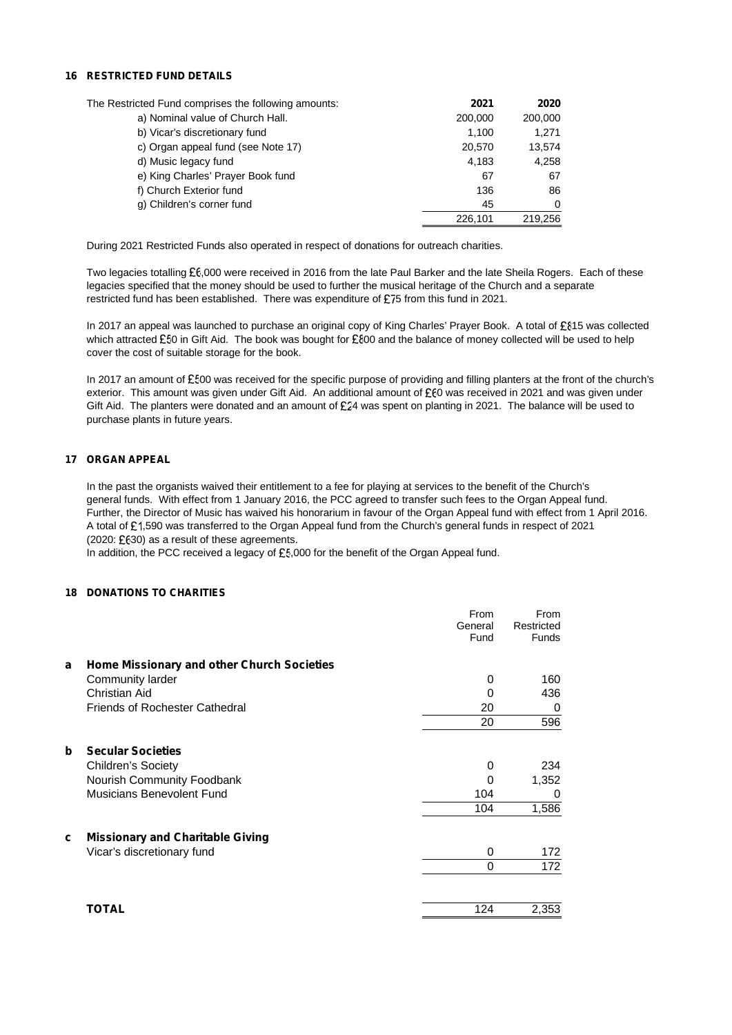### **16 RESTRICTED FUND DETAILS**

| The Restricted Fund comprises the following amounts: | 2021    | 2020    |
|------------------------------------------------------|---------|---------|
| a) Nominal value of Church Hall.                     | 200,000 | 200,000 |
| b) Vicar's discretionary fund                        | 1.100   | 1.271   |
| c) Organ appeal fund (see Note 17)                   | 20,570  | 13.574  |
| d) Music legacy fund                                 | 4.183   | 4.258   |
| e) King Charles' Prayer Book fund                    | 67      | 67      |
| f) Church Exterior fund                              | 136     | 86      |
| g) Children's corner fund                            | 45      | 0       |
|                                                      | 226,101 | 219.256 |

During 2021 Restricted Funds also operated in respect of donations for outreach charities.

Two legacies totalling £6,000 were received in 2016 from the late Paul Barker and the late Sheila Rogers. Each of these legacies specified that the money should be used to further the musical heritage of the Church and a separate restricted fund has been established. There was expenditure of £75 from this fund in 2021.

In 2017 an appeal was launched to purchase an original copy of King Charles' Prayer Book. A total of £815 was collected which attracted £50 in Gift Aid. The book was bought for £800 and the balance of money collected will be used to help cover the cost of suitable storage for the book.

In 2017 an amount of £500 was received for the specific purpose of providing and filling planters at the front of the church's exterior. This amount was given under Gift Aid. An additional amount of £60 was received in 2021 and was given under Gift Aid. The planters were donated and an amount of  $£24$  was spent on planting in 2021. The balance will be used to purchase plants in future years.

### **17 ORGAN APPEAL**

In the past the organists waived their entitlement to a fee for playing at services to the benefit of the Church's general funds. With effect from 1 January 2016, the PCC agreed to transfer such fees to the Organ Appeal fund. Further, the Director of Music has waived his honorarium in favour of the Organ Appeal fund with effect from 1 April 2016. A total of £1,590 was transferred to the Organ Appeal fund from the Church's general funds in respect of 2021 (2020: £630) as a result of these agreements.

In addition, the PCC received a legacy of  $E5,000$  for the benefit of the Organ Appeal fund.

### **18 DONATIONS TO CHARITIES**

|                                                 | From<br>General<br>Fund | From<br>Restricted<br><b>Funds</b> |
|-------------------------------------------------|-------------------------|------------------------------------|
| Home Missionary and other Church Societies<br>a |                         |                                    |
| Community larder                                | $\mathbf 0$             | 160                                |
| Christian Aid                                   | $\Omega$                | 436                                |
| <b>Friends of Rochester Cathedral</b>           | 20                      | 0                                  |
|                                                 | 20                      | 596                                |
| <b>Secular Societies</b><br>b                   |                         |                                    |
| <b>Children's Society</b>                       | $\mathbf 0$             | 234                                |
| Nourish Community Foodbank                      | 0                       | 1,352                              |
| Musicians Benevolent Fund                       | 104                     | 0                                  |
|                                                 | 104                     | 1,586                              |
| <b>Missionary and Charitable Giving</b><br>C    |                         |                                    |
| Vicar's discretionary fund                      | $\Omega$                | 172                                |
|                                                 | $\Omega$                | 172                                |
|                                                 |                         |                                    |
| TOTAL                                           | 124                     | 2,353                              |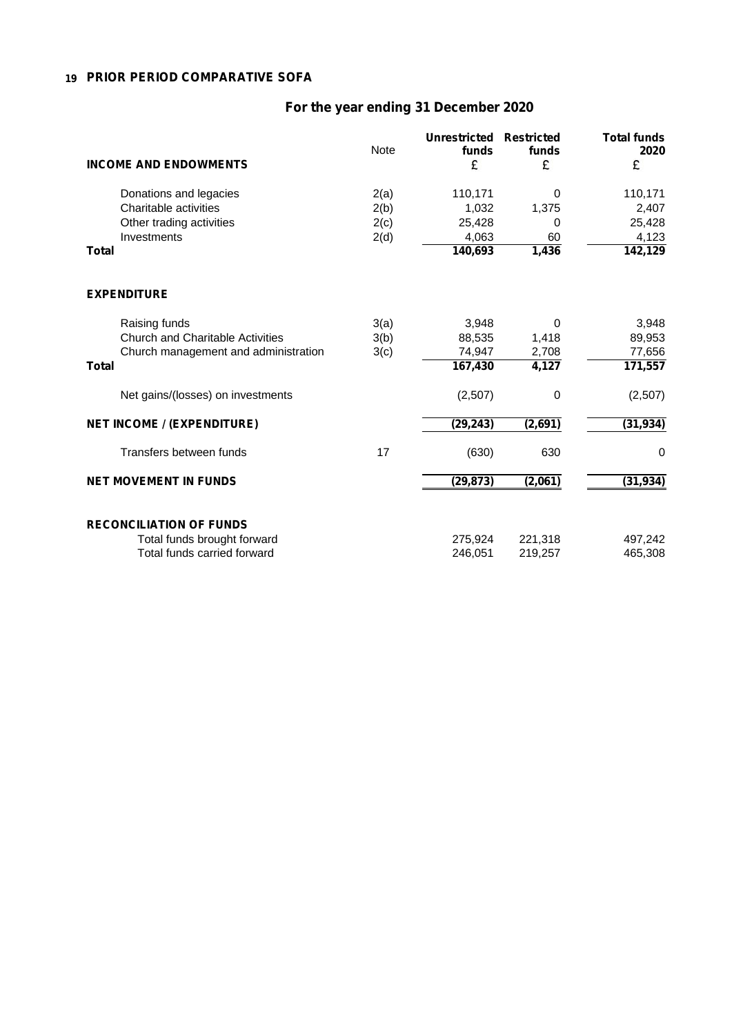## **19 PRIOR PERIOD COMPARATIVE SOFA**

# **For the year ending 31 December 2020**

| <b>INCOME AND ENDOWMENTS</b>            | <b>Note</b> | <b>Unrestricted</b><br>funds<br>£ | <b>Restricted</b><br>funds<br>£ | <b>Total funds</b><br>2020<br>£ |
|-----------------------------------------|-------------|-----------------------------------|---------------------------------|---------------------------------|
|                                         |             |                                   |                                 |                                 |
| Donations and legacies                  | 2(a)        | 110,171                           | 0                               | 110,171                         |
| Charitable activities                   | 2(b)        | 1,032                             | 1,375                           | 2,407                           |
| Other trading activities                | 2(c)        | 25,428                            | 0                               | 25,428                          |
| Investments                             | 2(d)        | 4,063                             | 60                              | 4,123                           |
| <b>Total</b>                            |             | 140,693                           | 1,436                           | 142,129                         |
| <b>EXPENDITURE</b>                      |             |                                   |                                 |                                 |
| Raising funds                           | 3(a)        | 3,948                             | 0                               | 3,948                           |
| <b>Church and Charitable Activities</b> | 3(b)        | 88,535                            | 1,418                           | 89,953                          |
| Church management and administration    | 3(c)        | 74,947                            | 2,708                           | 77,656                          |
| <b>Total</b>                            |             | 167,430                           | 4,127                           | 171,557                         |
| Net gains/(losses) on investments       |             | (2,507)                           | 0                               | (2,507)                         |
| <b>NET INCOME / (EXPENDITURE)</b>       |             | (29, 243)                         | (2,691)                         | (31, 934)                       |
| Transfers between funds                 | 17          | (630)                             | 630                             | 0                               |
| <b>NET MOVEMENT IN FUNDS</b>            |             | (29, 873)                         | (2,061)                         | (31, 934)                       |
| <b>RECONCILIATION OF FUNDS</b>          |             |                                   |                                 |                                 |
| Total funds brought forward             |             | 275,924                           | 221,318                         | 497,242                         |
| Total funds carried forward             |             | 246.051                           | 219,257                         | 465,308                         |